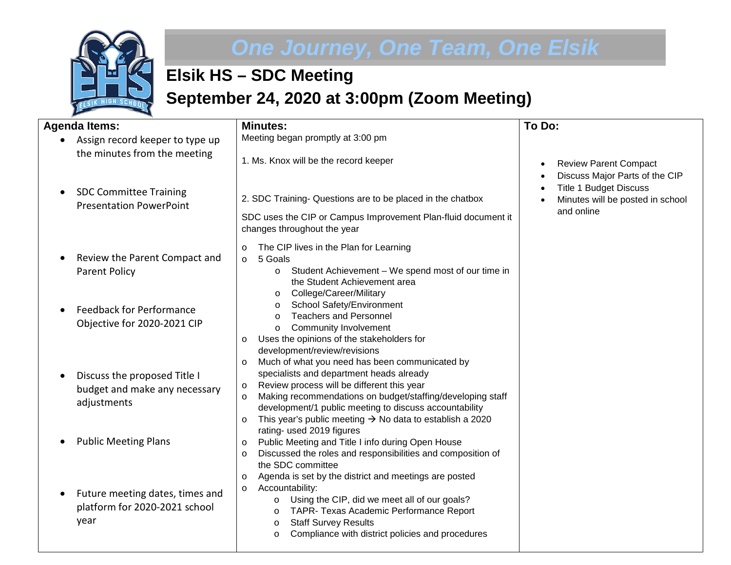

## *One Journey, One Team, One Elsik*

## **Elsik HS – SDC Meeting September 24, 2020 at 3:00pm (Zoom Meeting)**

| <b>Agenda Items:</b>                                                         | <b>Minutes:</b>                                                                                                                                                                                                                                                                                                                                                                      | To Do:                                                                                                                                                                      |
|------------------------------------------------------------------------------|--------------------------------------------------------------------------------------------------------------------------------------------------------------------------------------------------------------------------------------------------------------------------------------------------------------------------------------------------------------------------------------|-----------------------------------------------------------------------------------------------------------------------------------------------------------------------------|
| Assign record keeper to type up<br>the minutes from the meeting              | Meeting began promptly at 3:00 pm<br>1. Ms. Knox will be the record keeper                                                                                                                                                                                                                                                                                                           |                                                                                                                                                                             |
| <b>SDC Committee Training</b><br><b>Presentation PowerPoint</b>              | 2. SDC Training- Questions are to be placed in the chatbox<br>SDC uses the CIP or Campus Improvement Plan-fluid document it<br>changes throughout the year                                                                                                                                                                                                                           | <b>Review Parent Compact</b><br>$\bullet$<br>Discuss Major Parts of the CIP<br>$\bullet$<br><b>Title 1 Budget Discuss</b><br>Minutes will be posted in school<br>and online |
| Review the Parent Compact and<br><b>Parent Policy</b>                        | The CIP lives in the Plan for Learning<br>$\circ$<br>5 Goals<br>$\circ$<br>Student Achievement - We spend most of our time in<br>$\circ$<br>the Student Achievement area<br>College/Career/Military<br>$\circ$                                                                                                                                                                       |                                                                                                                                                                             |
| <b>Feedback for Performance</b><br>Objective for 2020-2021 CIP               | School Safety/Environment<br>$\circ$<br><b>Teachers and Personnel</b><br>$\circ$<br><b>Community Involvement</b><br>$\circ$<br>Uses the opinions of the stakeholders for<br>$\circ$<br>development/review/revisions                                                                                                                                                                  |                                                                                                                                                                             |
| Discuss the proposed Title I<br>budget and make any necessary<br>adjustments | Much of what you need has been communicated by<br>$\circ$<br>specialists and department heads already<br>Review process will be different this year<br>$\circ$<br>Making recommendations on budget/staffing/developing staff<br>$\circ$<br>development/1 public meeting to discuss accountability<br>This year's public meeting $\rightarrow$ No data to establish a 2020<br>$\circ$ |                                                                                                                                                                             |
| <b>Public Meeting Plans</b>                                                  | rating- used 2019 figures<br>Public Meeting and Title I info during Open House<br>$\circ$<br>Discussed the roles and responsibilities and composition of<br>$\circ$<br>the SDC committee<br>Agenda is set by the district and meetings are posted                                                                                                                                    |                                                                                                                                                                             |
| Future meeting dates, times and<br>platform for 2020-2021 school<br>year     | $\circ$<br>Accountability:<br>$\circ$<br>Using the CIP, did we meet all of our goals?<br>$\circ$<br>TAPR- Texas Academic Performance Report<br>$\circ$<br><b>Staff Survey Results</b><br>$\circ$<br>Compliance with district policies and procedures<br>$\circ$                                                                                                                      |                                                                                                                                                                             |